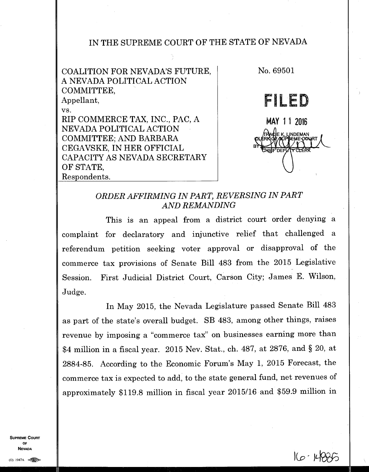## IN THE SUPREME COURT OF THE STATE OF NEVADA

COALITION FOR NEVADA'S FUTURE, A NEVADA POLITICAL ACTION COMMITTEE, Appellant, vs. RIP COMMERCE TAX, INC., PAC, A NEVADA POLITICAL ACTION COMMITTEE; AND BARBARA CEGAVSKE, IN HER OFFICIAL CAPACITY AS NEVADA SECRETARY OF STATE, Respondents.



 $160 - 16006$ 

## *ORDER AFFIRMING IN PART, REVERSING IN PART AND REMANDING*

This is an appeal from a district court order denying a complaint for declaratory and injunctive relief that challenged a referendum petition seeking voter approval or disapproval of the commerce tax provisions of Senate Bill 483 from the 2015 Legislative Session. First Judicial District Court, Carson City; James E. Wilson, Judge.

In May 2015, the Nevada Legislature passed Senate Bill 483 as part of the state's overall budget. SB 483, among other things, raises revenue by imposing a "commerce tax" on businesses earning more than \$4 million in a fiscal year. 2015 Nev. Stat., ch. 487, at 2876, and § 20, at 2884-85. According to the Economic Forum's May 1, 2015 Forecast, the commerce tax is expected to add, to the state general fund, net revenues of approximately \$119.8 million in fiscal year 2015/16 and \$59.9 million in

**SUPREME COURT** 0F **NEVADA**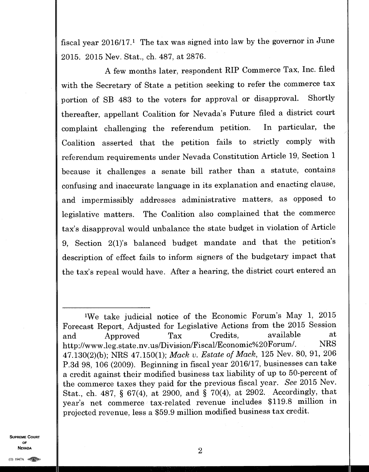fiscal year  $2016/17$ .<sup>1</sup> The tax was signed into law by the governor in June 2015. 2015 Nev. Stat., ch. 487, at 2876.

A few months later, respondent RIP Commerce Tax, Inc. filed with the Secretary of State a petition seeking to refer the commerce tax portion of SB 483 to the voters for approval or disapproval. Shortly thereafter, appellant Coalition for Nevada's Future filed a district court complaint challenging the referendum petition. In particular, the Coalition asserted that the petition fails to strictly comply with referendum requirements under Nevada Constitution Article 19, Section 1 because it challenges a senate bill rather than a statute, contains confusing and inaccurate language in its explanation and enacting clause, and impermissibly addresses administrative matters, as opposed to legislative matters. The Coalition also complained that the commerce tax's disapproval would unbalance the state budget in violation of Article 9, Section 2(1)'s balanced budget mandate and that the petition's description of effect fails to inform signers of the budgetary impact that the tax's repeal would have. After a hearing, the district court entered an

**SUPREME COURT OF**  NEVADA  $\qquad$  2

<sup>&#</sup>x27;We take judicial notice of the Economic Forum's May 1, 2015 Forecast Report, Adjusted for Legislative Actions from the 2015 Session and Approved Tax Credits, available at<br>http://www.leg.state.ny.us/Division/Fiscal/Economic%20Forum/. NRS http://www.leg.state.nv.us/Division/Fiscal/Economic%20Forum/. 47.130(2)(b); NRS 47.150(1); *Mack v. Estate of Mack,* 125 Nev. 80, 91, 206 P.3d 98, 106 (2009). Beginning in fiscal year 2016/17, businesses can take a credit against their modified business tax liability of up to 50-percent of the commerce taxes they paid for the previous fiscal year. *See* 2015 Nev. Stat., ch. 487, § 67(4), at 2900, and § 70(4), at 2902. Accordingly, that year's net commerce tax-related revenue includes \$119.8 million in projected revenue, less a \$59.9 million modified business tax credit.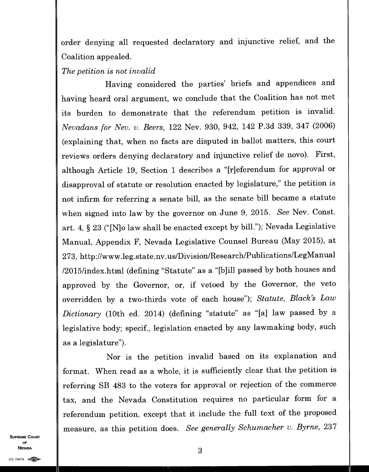order denying all requested declaratory and injunctive relief, and the Coalition appealed.

*The petition is not invalid* 

Having considered the parties' briefs and appendices and having heard oral argument, we conclude that the Coalition has not met its burden to demonstrate that the referendum petition is invalid. *Nevadans for Nev. v. Beers,* 122 Nev. 930, 942, 142 P.3d 339, 347 (2006) (explaining that, when no facts are disputed in ballot matters, this court reviews orders denying declaratory and injunctive relief de novo). First, although Article 19, Section 1 describes a "[r]eferendum for approval or disapproval of statute or resolution enacted by legislature," the petition is not infirm for referring a senate bill, as the senate bill became a statute when signed into law by the governor on June 9, 2015. *See* Nev. Const. art. 4, § 23 ("[N]o law shall be enacted except by bill."); Nevada Legislative Manual, Appendix F, Nevada Legislative Counsel Bureau (May 2015), at 273, http://www.leg.state.nv.us/Division/Research/Publications/LegManual /2015/index.html (defining "Statute" as a "[b]ill passed by both houses and approved by the Governor, or, if vetoed by the Governor, the veto overridden by a two-thirds vote of each house"); *Statute, Black's Law Dictionary* (10th ed. 2014) (defining "statute" as "[a] law passed by a legislative body; specif., legislation enacted by any lawmaking body, such as a legislature").

Nor is the petition invalid based on its explanation and format. When read as a whole, it is sufficiently clear that the petition is referring SB 483 to the voters for approval or rejection of the commerce tax, and the Nevada Constitution requires no particular form for a referendum petition, except that it include the full text of the proposed measure, as this petition does. *See generally Schumacher v. Byrne,* <sup>237</sup>

**SUPREME COURT OF NEVADA** 3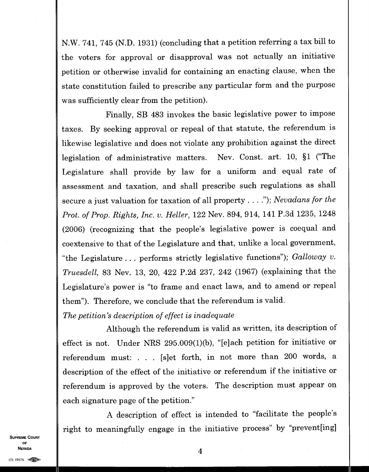N.W. 741, 745 (N.D. 1931) (concluding that a petition referring a tax bill to the voters for approval or disapproval was not actually an initiative petition or otherwise invalid for containing an enacting clause, when the state constitution failed to prescribe any particular form and the purpose was sufficiently clear from the petition).

Finally, SB 483 invokes the basic legislative power to impose taxes. By seeking approval or repeal of that statute, the referendum is likewise legislative and does not violate any prohibition against the direct legislation of administrative matters. Nev. Const. art. 10, §1 ("The Legislature shall provide by law for a uniform and equal rate of assessment and taxation, and shall prescribe such regulations as shall secure a just valuation for taxation of all property . . . ."); *Nevadans for the Prot. of Prop. Rights, Inc. v. Heller,* 122 Nev. 894, 914, 141 P.3d 1235, 1248 (2006) (recognizing that the people's legislative power is coequal and coextensive to that of the Legislature and that, unlike a local government, "the Legislature . . . performs strictly legislative functions"); *Galloway v. Truesdell,* 83 Nev. 13, 20, 422 P.2d 237, 242 (1967) (explaining that the Legislature's power is "to frame and enact laws, and to amend or repeal them"). Therefore, we conclude that the referendum is valid.

*The petition's description of effect is inadequate* 

Although the referendum is valid as written, its description of effect is not. Under NRS 295.009(1)(b), "[e]ach petition for initiative or referendum must: . . . [s]et forth, in not more than 200 words, a description of the effect of the initiative or referendum if the initiative or referendum is approved by the voters. The description must appear on each signature page of the petition."

A description of effect is intended to "facilitate the people's right to meaningfully engage in the initiative process" by "prevent[ing]

**SUPREME COURT** OF **NEVADA** 

4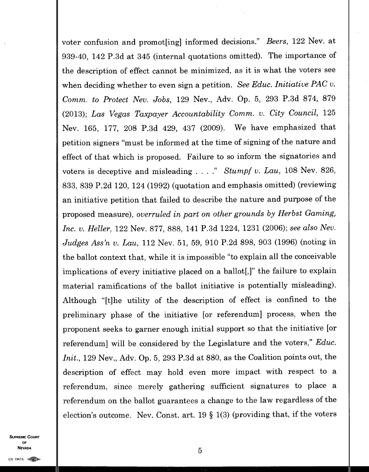voter confusion and promot[ing] informed decisions." *Beers,* 122 Nev. at 939-40, 142 P.3d at 345 (internal quotations omitted). The importance of the description of effect cannot be minimized, as it is what the voters see when deciding whether to even sign a petition. *See Educ. Initiative PAC v. Comm. to Protect Nev. Jobs,* 129 Nev., Adv. Op. 5, 293 P.3d 874, 879 (2013); *Las Vegas Taxpayer Accountability Comm. v. City Council,* 125 Nev. 165, 177, 208 P.3d 429, 437 (2009). We have emphasized that petition signers "must be informed at the time of signing of the nature and effect of that which is proposed. Failure to so inform the signatories and voters is deceptive and misleading . . . ." *Stumpf v. Lau,* 108 Nev. 826, 833, 839 P.2d 120, 124 (1992) (quotation and emphasis omitted) (reviewing an initiative petition that failed to describe the nature and purpose of the proposed measure), *overruled in part on other grounds by Herbst Gaming, Inc. v. Heller,* 122 Nev. 877, 888, 141 P.3d 1224, 1231 (2006); *see also Nev. Judges Ass'n v. Lau,* 112 Nev. 51, 59, 910 P.2d 898, 903 (1996) (noting in the ballot context that, while it is impossible "to explain all the conceivable implications of every initiative placed on a ballot[,}" the failure to explain material ramifications of the ballot initiative is potentially misleading). Although "[t]he utility of the description of effect is confined to the preliminary phase of the initiative [or referendum] process, when the proponent seeks to garner enough initial support so that the initiative [or referendum] will be considered by the Legislature and the voters," *Educ. Init.,* 129 Nev., Adv. Op. 5, 293 P.3d at 880, as the Coalition points out, the description of effect may hold even more impact with respect to a referendum, since merely gathering sufficient signatures to place a referendum on the ballot guarantees a change to the law regardless of the election's outcome. Nev. Const. art. 19 § 1(3) (providing that, if the voters

SUPPEME COUPT **NEVADA**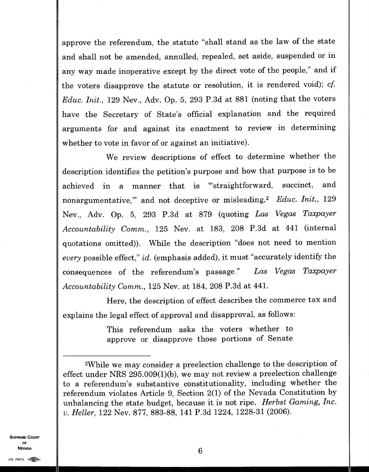approve the referendum, the statute "shall stand as the law of the state and shall not be amended, annulled, repealed, set aside, suspended or in any way made inoperative except by the direct vote of the people," and if the voters disapprove the statute or resolution, it is rendered void); *cf. Educ. Init.,* 129 Nev., Adv. Op. 5, 293 P.3d at 881 (noting that the voters have the Secretary of State's official explanation and the required arguments for and against its enactment to review in determining whether to vote in favor of or against an initiative).

We review descriptions of effect to determine whether the description identifies the petition's purpose and how that purpose is to be achieved in a manner that is "straightforward, succinct, and nonargumentative," and not deceptive or misleading.<sup>2</sup> Educ. Init., 129 Nev., Adv. Op. 5, 293 P.3d at 879 (quoting *Las Vegas Taxpayer Accountability Comm.,* 125 Nev. at 183, 208 P.3d at 441 (internal quotations omitted)). While the description "does not need to mention *every* possible effect," *id.* (emphasis added), it must "accurately identify the consequences of the referendum's passage." *Las Vegas Taxpayer Accountability Comm.,* 125 Nev. at 184, 208 P.3d at 441.

Here, the description of effect describes the commerce tax and explains the legal effect of approval and disapproval, as follows:

> This referendum asks the voters whether to approve or disapprove those portions of Senate

**SUPREME COURT** OF **NEVADA** 

<sup>2</sup>While we may consider a preelection challenge to the description of effect under NRS 295.009(1)(b), we may not review a preelection challenge to a referendum's substantive constitutionality, including whether the referendum violates Article 9, Section 2(1) of the Nevada Constitution by unbalancing the state budget, because it is not ripe. *Herbst Gaming, Inc. v. Heller,* 122 Nev. 877, 883-88, 141 P.3d 1224, 1228-31 (2006).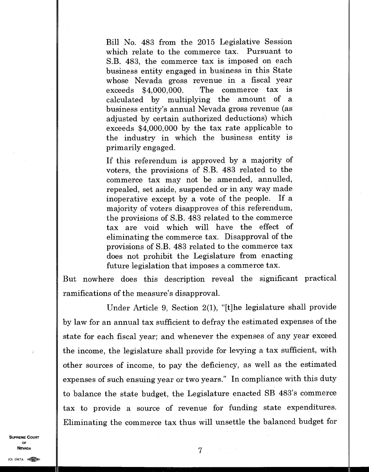Bill No. 483 from the 2015 Legislative Session which relate to the commerce tax. Pursuant to S.B. 483, the commerce tax is imposed on each business entity engaged in business in this State whose Nevada gross revenue in a fiscal year exceeds \$4,000,000. The commerce tax is calculated by multiplying the amount of a business entity's annual Nevada gross revenue (as adjusted by certain authorized deductions) which exceeds \$4,000,000 by the tax rate applicable to the industry in which the business entity is primarily engaged.

If this referendum is approved by a majority of voters, the provisions of S.B. 483 related to the commerce tax may not be amended, annulled, repealed, set aside, suspended or in any way made inoperative except by a vote of the people. If a majority of voters disapproves of this referendum, the provisions of S.B. 483 related to the commerce tax are void which will have the effect of eliminating the commerce tax. Disapproval of the provisions of S.B. 483 related to the commerce tax does not prohibit the Legislature from enacting future legislation that imposes a commerce tax.

But nowhere does this description reveal the significant practical ramifications of the measure's disapproval.

Under Article 9, Section 2(1), "[t]he legislature shall provide by law for an annual tax sufficient to defray the estimated expenses of the state for each fiscal year; and whenever the expenses of any year exceed the income, the legislature shall provide for levying a tax sufficient, with other sources of income, to pay the deficiency, as well as the estimated expenses of such ensuing year or two years." In compliance with this duty to balance the state budget, the Legislature enacted SB 483's commerce tax to provide a source of revenue for funding state expenditures. Eliminating the commerce tax thus will unsettle the balanced budget for

**SUPREME COURT OF NEVADA** 

 $7 -$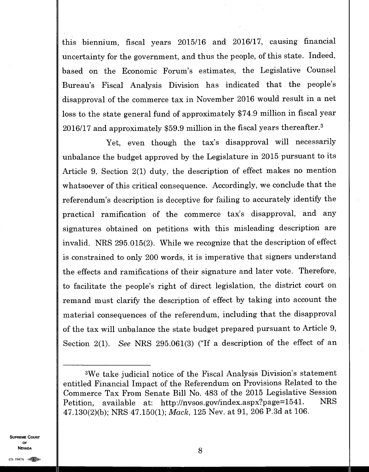this biennium, fiscal years 2015/16 and 2016/17, causing financial uncertainty for the government, and thus the people, of this state. Indeed, based on the Economic Forum's estimates, the Legislative Counsel Bureau's Fiscal Analysis Division has indicated that the people's disapproval of the commerce tax in November 2016 would result in a net loss to the state general fund of approximately \$74.9 million in fiscal year 2016/17 and approximately \$59.9 million in the fiscal years thereafter. <sup>3</sup>

Yet, even though the tax's disapproval will necessarily unbalance the budget approved by the Legislature in 2015 pursuant to its Article 9, Section 2(1) duty, the description of effect makes no mention whatsoever of this critical consequence. Accordingly, we conclude that the referendum's description is deceptive for failing to accurately identify the practical ramification of the commerce tax's disapproval, and any signatures obtained on petitions with this misleading description are invalid. NRS 295.015(2). While we recognize that the description of effect is constrained to only 200 words, it is imperative that signers understand the effects and ramifications of their signature and later vote. Therefore, to facilitate the people's right of direct legislation, the district court on remand must clarify the description of effect by taking into account the material consequences of the referendum, including that the disapproval of the tax will unbalance the state budget prepared pursuant to Article 9, Section 2(1). *See* NRS 295.061(3) ("If a description of the effect of an

**SUPREME COURT OF NEVADA** 8

<sup>3</sup>We take judicial notice of the Fiscal Analysis Division's statement entitled Financial Impact of the Referendum on Provisions Related to the Commerce Tax From Senate Bill No. 483 of the 2015 Legislative Session Petition, available at: http://nvsos.gov/index.aspx?page=1541. NRS 47.130(2)(b); NRS 47.150(1); *Mack,* 125 Nev. at 91, 206 P.3d at 106.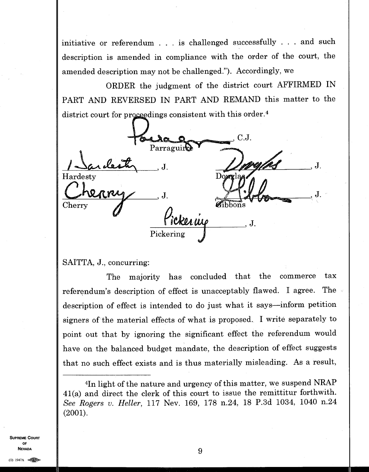initiative or referendum . . . is challenged successfully . . . and such description is amended in compliance with the order of the court, the amended description may not be challenged."). Accordingly, we

ORDER the judgment of the district court AFFIRMED IN PART AND REVERSED IN PART AND REMAND this matter to the district court for proceedings consistent with this order.<sup>4</sup>

|                                      |            | $\mathrm{C.J.}$<br><b>ASS</b>   |    |
|--------------------------------------|------------|---------------------------------|----|
|                                      | Parraguire |                                 |    |
| arcleste<br>$\overline{\phantom{a}}$ |            |                                 | J. |
| Hardesty                             |            | oyaxla a                        |    |
|                                      |            |                                 |    |
|                                      | J          |                                 |    |
| Cherry                               |            | Special Contractors<br>$bbo$ ns |    |
|                                      |            |                                 |    |
|                                      | ickerung   | J                               |    |
|                                      | Pickering  |                                 |    |

SAITTA, J., concurring:

The majority has concluded that the commerce tax referendum's description of effect is unacceptably flawed. I agree. The description of effect is intended to do just what it says—inform petition signers of the material effects of what is proposed. I write separately to point out that by ignoring the significant effect the referendum would have on the balanced budget mandate, the description of effect suggests that no such effect exists and is thus materially misleading. As a result,

**SUPREME COURT OF NEVADA** 9

<sup>4</sup>In light of the nature and urgency of this matter, we suspend NRAP 41(a) and direct the clerk of this court to issue the remittitur forthwith. *See Rogers v. Heller,* 117 Nev. 169, 178 n.24, 18 P.3d 1034, 1040 n.24 (2001).